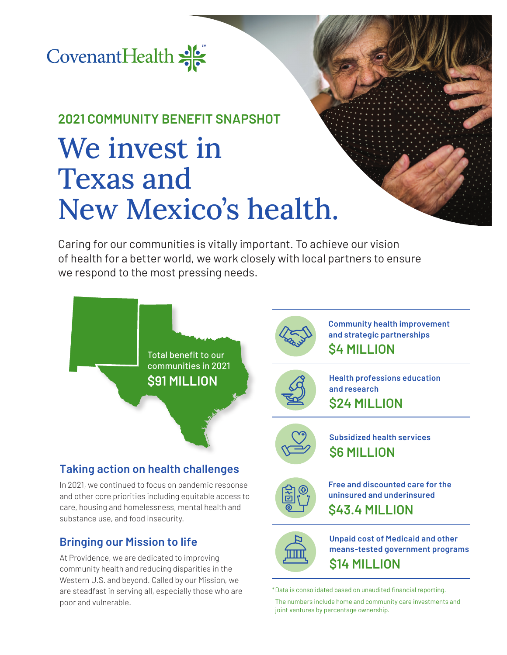

## **2021 COMMUNITY BENEFIT SNAPSHOT**

# We invest in Texas and New Mexico's health.

Caring for our communities is vitally important. To achieve our vision of health for a better world, we work closely with local partners to ensure we respond to the most pressing needs.



**Subsidized health services \$6 MILLION**

**\$24 MILLION**

**and research**

**\$4 MILLION**

### **Taking action on health challenges**

In 2021, we continued to focus on pandemic response and other core priorities including equitable access to care, housing and homelessness, mental health and substance use, and food insecurity.

### **Bringing our Mission to life**

At Providence, we are dedicated to improving community health and reducing disparities in the Western U.S. and beyond. Called by our Mission, we are steadfast in serving all, especially those who are poor and vulnerable.



**Free and discounted care for the uninsured and underinsured \$43.4 MILLION**

**Community health improvement and strategic partnerships**

**Health professions education** 



**Unpaid cost of Medicaid and other means-tested government programs \$14 MILLION**

\* Data is consolidated based on unaudited financial reporting.

 The numbers include home and community care investments and joint ventures by percentage ownership.